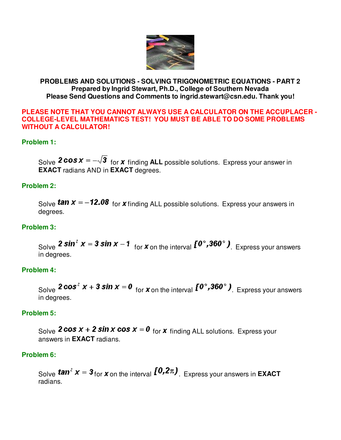

### **PROBLEMS AND SOLUTIONS - SOLVING TRIGONOMETRIC EQUATIONS - PART 2 Prepared by Ingrid Stewart, Ph.D., College of Southern Nevada Please Send Questions and Comments to ingrid.stewart@csn.edu. Thank you!**

#### **PLEASE NOTE THAT YOU CANNOT ALWAYS USE A CALCULATOR ON THE ACCUPLACER - COLLEGE-LEVEL MATHEMATICS TEST! YOU MUST BE ABLE TO DO SOME PROBLEMS WITHOUT A CALCULATOR!**

# **Problem 1:**

Solve **2 cos**  $x = -\sqrt{3}$  for **x** finding ALL possible solutions. Express your answer in **EXACT** radians AND in **EXACT** degrees.

## **Problem 2:**

Solve **tan**  $x = -12.08$  for **x** finding ALL possible solutions. Express your answers in degrees.

## **Problem 3:**

Solve **2 sin<sup>2</sup>**  $x = 3 \sin x - 1$  for **x** on the interval  $\left[0^\circ, 360^\circ\right)$ . Express your answers in degrees.

## **Problem 4:**

Solve **2 cos<sup>2</sup>**  $x + 3 \sin x = 0$  for **x** on the interval  $\left[0^\circ, 360^\circ\right)$ . Express your answers in degrees.

## **Problem 5:**

Solve **2 cos**  $x + 2 \sin x \cos x = 0$  for **x** finding ALL solutions. Express your answers in **EXACT** radians.

## **Problem 6:**

Solve **tan**<sup>2</sup>  $x = 3$  for  $x$  on the interval  $\left[0, 2\pi\right)$ . Express your answers in **EXACT** radians.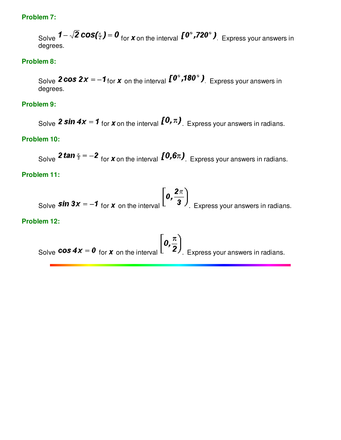### **Problem 7:**

Solve  $1-\sqrt{2}\cos(\frac{x}{2})=0$  for **x** on the interval  $\mathbf{I}^{0^\circ}$ ,  $720^\circ$  ). Express your answers in degrees.

### **Problem 8:**

Solve **2 cos 2x** =  $-1$  for **x** on the interval  $I^{\infty}$ , **180**° ). Express your answers in degrees.

#### **Problem 9:**

Solve **2 sin 4x** = **1** for **x** on the interval  $\left[0, \pi\right)$ . Express your answers in radians.

#### **Problem 10:**

Solve **2 tan**  $\frac{x}{3} = -2$  for **x** on the interval  $[0.6\pi]$ . Express your answers in radians.

### **Problem 11:**

Solve **sin 3x** = -**1** for **x** on the interval  $\left[0, \frac{2\pi}{3}\right)$ . Express your answers in radians.

#### **Problem 12:**

Solve **cos 4x** = 0 for **x** on the interval  $\left[0, \frac{\pi}{2}\right)$ . Express your answers in radians.